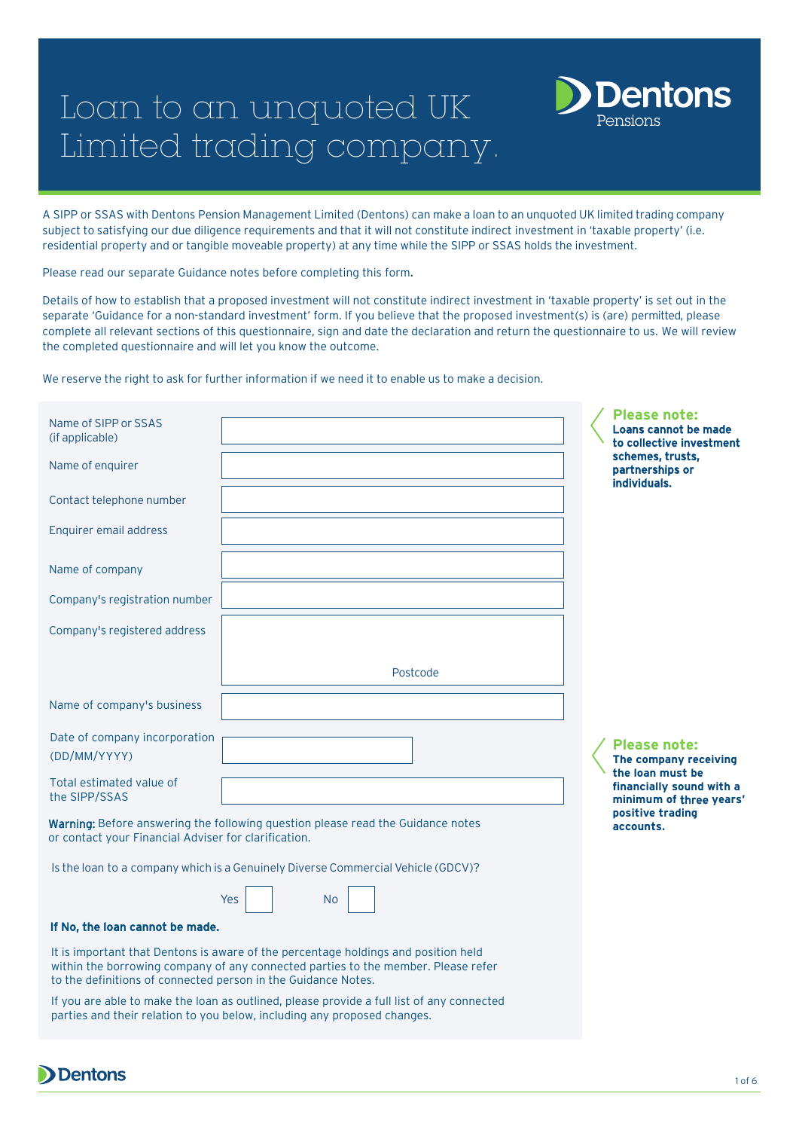# Loan to an unquoted UK Limited trading company.



A SIPP or SSAS with Dentons Pension Management Limited (Dentons) can make a loan to an unquoted UK limited trading company subject to satisfying our due diligence requirements and that it will not constitute indirect investment in 'taxable property' (i.e. residential property and or tangible moveable property) at any time while the SIPP or SSAS holds the investment.

Please read our separate Guidance notes before completing this form.

Details of how to establish that a proposed investment will not constitute indirect investment in 'taxable property' is set out in the separate 'Guidance for a non-standard investment' form. If you believe that the proposed investment(s) is (are) permitted, please complete all relevant sections of this questionnaire, sign and date the declaration and return the questionnaire to us. We will review the completed questionnaire and will let you know the outcome.

We reserve the right to ask for further information if we need it to enable us to make a decision.

| Name of SIPP or SSAS<br>(if applicable)<br>Name of enquirer |                                                                                  | <b>Please note:</b><br>Loans cannot be made<br>to collective investment<br>schemes, trusts,<br>partnerships or<br>individuals. |
|-------------------------------------------------------------|----------------------------------------------------------------------------------|--------------------------------------------------------------------------------------------------------------------------------|
| Contact telephone number                                    |                                                                                  |                                                                                                                                |
| Enquirer email address                                      |                                                                                  |                                                                                                                                |
| Name of company                                             |                                                                                  |                                                                                                                                |
| Company's registration number                               |                                                                                  |                                                                                                                                |
| Company's registered address                                |                                                                                  |                                                                                                                                |
|                                                             | Postcode                                                                         |                                                                                                                                |
| Name of company's business                                  |                                                                                  |                                                                                                                                |
| Date of company incorporation<br>(DD/MM/YYYY)               |                                                                                  | <b>Please note:</b><br>The company receiving                                                                                   |
| Total estimated value of<br>the SIPP/SSAS                   |                                                                                  | the loan must be<br>financially sound with a<br>minimum of three years'                                                        |
| or contact your Financial Adviser for clarification.        | Warning: Before answering the following question please read the Guidance notes  | positive trading<br>accounts.                                                                                                  |
|                                                             | Is the loan to a company which is a Genuinely Diverse Commercial Vehicle (GDCV)? |                                                                                                                                |
|                                                             | Yes<br><b>No</b>                                                                 |                                                                                                                                |

#### If No, the loan cannot be made.

It is important that Dentons is aware of the percentage holdings and position held within the borrowing company of any connected parties to the member. Please refer to the definitions of connected person in the Guidance Notes.

If you are able to make the loan as outlined, please provide a full list of any connected parties and their relation to you below, including any proposed changes.

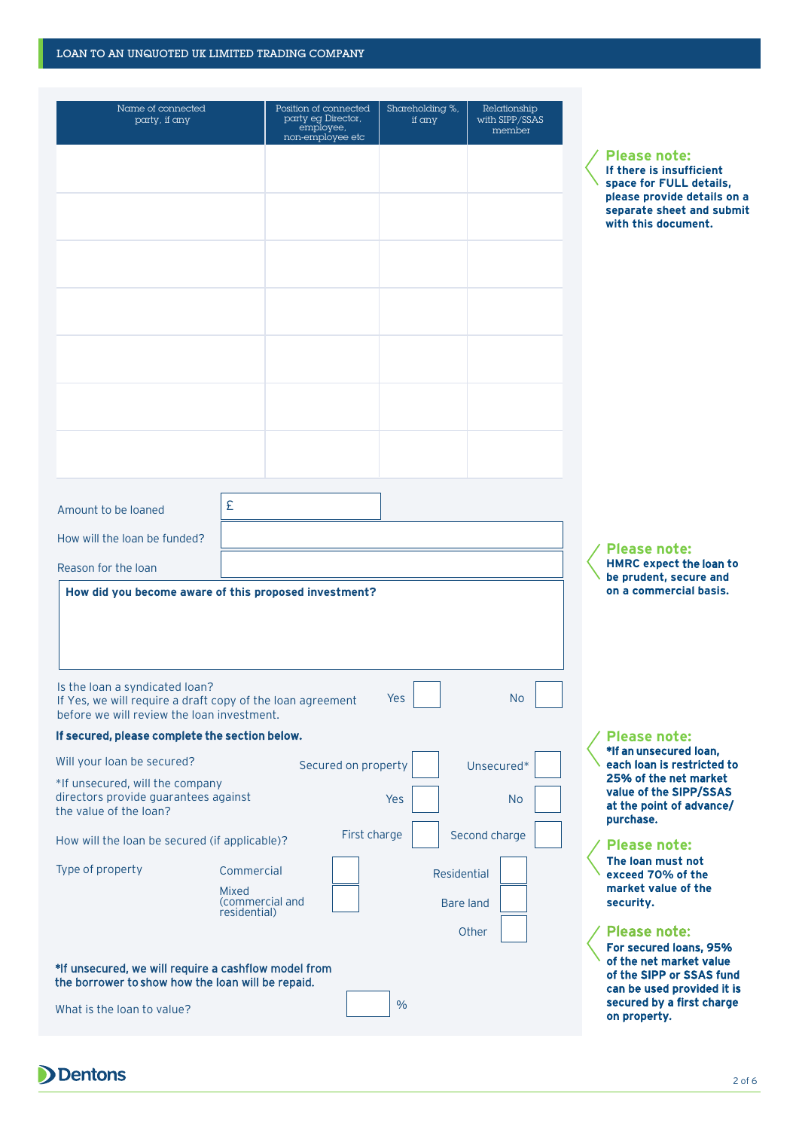#### LOAN TO AN UNQUOTED UK LIMITED TRADING COMPANY

|                                                                                                                                                                                                                                                                                                      |                                                               | Position of connected<br>party eg Director,<br>employee,<br>non-employee etc | Shareholding %,<br>if any | Relationship<br>with SIPP/SSAS<br>member |                                                                                                                                 |
|------------------------------------------------------------------------------------------------------------------------------------------------------------------------------------------------------------------------------------------------------------------------------------------------------|---------------------------------------------------------------|------------------------------------------------------------------------------|---------------------------|------------------------------------------|---------------------------------------------------------------------------------------------------------------------------------|
|                                                                                                                                                                                                                                                                                                      |                                                               |                                                                              |                           |                                          | <b>Pleas</b><br>If ther                                                                                                         |
|                                                                                                                                                                                                                                                                                                      |                                                               |                                                                              |                           |                                          | space<br>please<br>separa                                                                                                       |
|                                                                                                                                                                                                                                                                                                      |                                                               |                                                                              |                           |                                          | with th                                                                                                                         |
|                                                                                                                                                                                                                                                                                                      |                                                               |                                                                              |                           |                                          |                                                                                                                                 |
|                                                                                                                                                                                                                                                                                                      |                                                               |                                                                              |                           |                                          |                                                                                                                                 |
|                                                                                                                                                                                                                                                                                                      |                                                               |                                                                              |                           |                                          |                                                                                                                                 |
|                                                                                                                                                                                                                                                                                                      |                                                               |                                                                              |                           |                                          |                                                                                                                                 |
|                                                                                                                                                                                                                                                                                                      |                                                               |                                                                              |                           |                                          |                                                                                                                                 |
|                                                                                                                                                                                                                                                                                                      |                                                               |                                                                              |                           |                                          |                                                                                                                                 |
|                                                                                                                                                                                                                                                                                                      |                                                               |                                                                              |                           |                                          |                                                                                                                                 |
|                                                                                                                                                                                                                                                                                                      |                                                               |                                                                              |                           |                                          |                                                                                                                                 |
|                                                                                                                                                                                                                                                                                                      |                                                               |                                                                              |                           |                                          |                                                                                                                                 |
| Amount to be loaned                                                                                                                                                                                                                                                                                  | £                                                             |                                                                              |                           |                                          |                                                                                                                                 |
| How will the loan be funded?                                                                                                                                                                                                                                                                         |                                                               |                                                                              |                           |                                          | Pleas                                                                                                                           |
| Reason for the loan                                                                                                                                                                                                                                                                                  |                                                               |                                                                              |                           |                                          | <b>HMRC</b><br>be pru                                                                                                           |
| Is the loan a syndicated loan?<br>If Yes, we will require a draft copy of the loan agreement                                                                                                                                                                                                         |                                                               |                                                                              | Yes                       | <b>No</b>                                |                                                                                                                                 |
|                                                                                                                                                                                                                                                                                                      |                                                               |                                                                              |                           |                                          |                                                                                                                                 |
|                                                                                                                                                                                                                                                                                                      |                                                               |                                                                              |                           |                                          | <b>Pleas</b>                                                                                                                    |
|                                                                                                                                                                                                                                                                                                      |                                                               |                                                                              |                           |                                          |                                                                                                                                 |
|                                                                                                                                                                                                                                                                                                      |                                                               | Secured on property                                                          |                           | Unsecured*                               |                                                                                                                                 |
|                                                                                                                                                                                                                                                                                                      |                                                               |                                                                              | Yes                       | <b>No</b>                                |                                                                                                                                 |
|                                                                                                                                                                                                                                                                                                      |                                                               | First charge                                                                 |                           | Second charge                            |                                                                                                                                 |
| before we will review the loan investment.<br>If secured, please complete the section below.<br>Will your loan be secured?<br>*If unsecured, will the company<br>directors provide guarantees against<br>the value of the loan?<br>How will the loan be secured (if applicable)?<br>Type of property | Commercial<br><b>Mixed</b><br>(commercial and<br>residential) |                                                                              |                           | Residential<br><b>Bare land</b>          |                                                                                                                                 |
|                                                                                                                                                                                                                                                                                                      |                                                               |                                                                              |                           | Other                                    | *If an l<br>each lo<br>25% o<br>value<br>at the<br>purcha<br><b>Pleas</b><br>The lo<br>excee<br>marke<br>securi<br><b>Pleas</b> |
| *If unsecured, we will require a cashflow model from<br>the borrower to show how the loan will be repaid.                                                                                                                                                                                            |                                                               |                                                                              |                           |                                          | For se<br>of the<br>of the                                                                                                      |

#### **Please note: If there is insufficient**  for **FULL** details, provide details on a **separate sheet and submit**  his document.

**Se** note: **expect the loan to be prudent, secure and commercial basis.** 

#### **Se** note:

unsecured loan, oan is restricted to of the net market of the SIPP/SSAS point of advance/  $\mathsf{\overline{a}se}.$ 

## **Please note:**

**The loan must not exceed 70% of the et value of the** ity.

### se note:

ecured loans, 95% net market value SIPP or SSAS fund e used provided it is ed by a first charge property.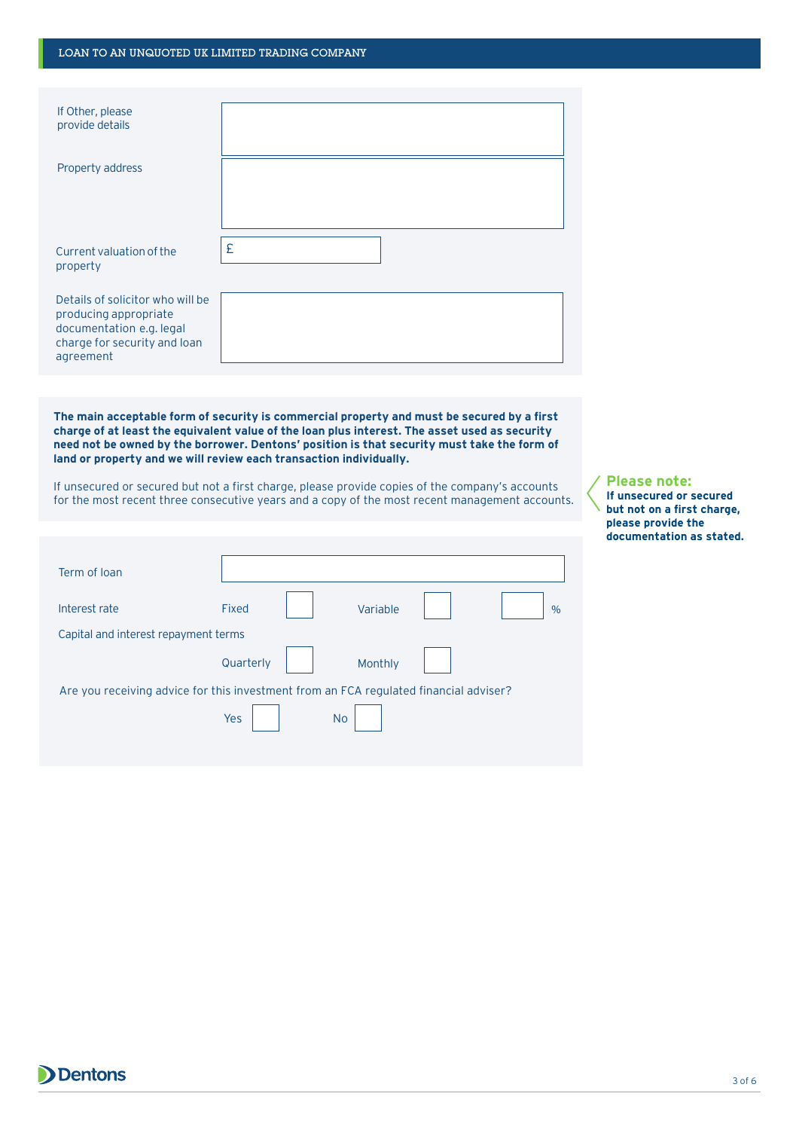### LOAN TO AN UNQUOTED UK LIMITED TRADING COMPANY

| If Other, please<br>provide details                                                                                                |                                                                                                                                                                                                                                                                                                                                                                  |
|------------------------------------------------------------------------------------------------------------------------------------|------------------------------------------------------------------------------------------------------------------------------------------------------------------------------------------------------------------------------------------------------------------------------------------------------------------------------------------------------------------|
| <b>Property address</b>                                                                                                            |                                                                                                                                                                                                                                                                                                                                                                  |
| Current valuation of the<br>property                                                                                               | £                                                                                                                                                                                                                                                                                                                                                                |
| Details of solicitor who will be<br>producing appropriate<br>documentation e.g. legal<br>charge for security and loan<br>agreement |                                                                                                                                                                                                                                                                                                                                                                  |
|                                                                                                                                    |                                                                                                                                                                                                                                                                                                                                                                  |
|                                                                                                                                    | The main acceptable form of security is commercial property and must be secured by a first<br>charge of at least the equivalent value of the loan plus interest. The asset used as security<br>need not be owned by the borrower. Dentons' position is that security must take the form of<br>land or property and we will review each transaction individually. |
|                                                                                                                                    | If unsecured or secured but not a first charge, please provide copies of the company's accounts<br>for the most recent three consecutive years and a copy of the most recent management accounts.                                                                                                                                                                |
|                                                                                                                                    |                                                                                                                                                                                                                                                                                                                                                                  |
| Term of Ioan                                                                                                                       |                                                                                                                                                                                                                                                                                                                                                                  |
| Interest rate                                                                                                                      | <b>Fixed</b><br>Variable<br>$\frac{0}{0}$                                                                                                                                                                                                                                                                                                                        |
| Capital and interest repayment terms                                                                                               |                                                                                                                                                                                                                                                                                                                                                                  |
|                                                                                                                                    | Quarterly<br>Monthly                                                                                                                                                                                                                                                                                                                                             |
|                                                                                                                                    | Are you receiving advice for this investment from an FCA regulated financial adviser?<br>Yes<br><b>No</b>                                                                                                                                                                                                                                                        |

**Please note:**

**If unsecured or secured but not on a first charge, please provide the documentation as stated.**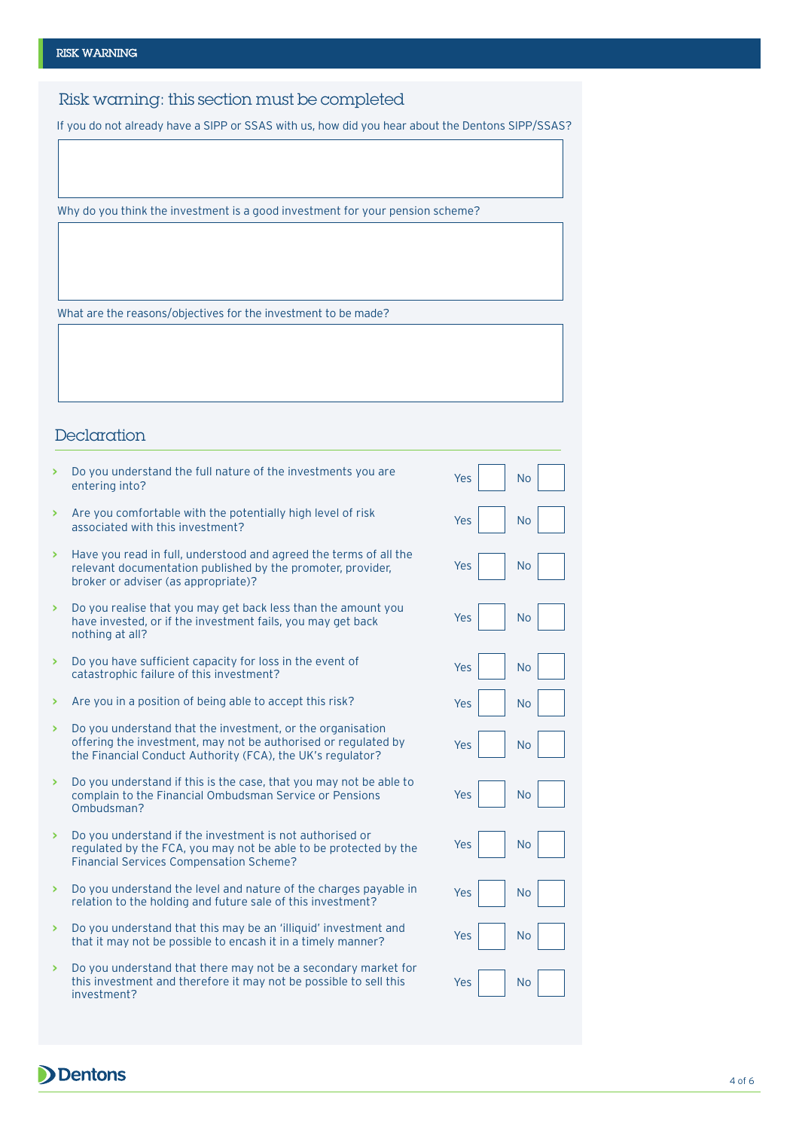Risk warning: this section must be completed

If you do not already have a SIPP or SSAS with us, how did you hear about the Dentons SIPP/SSAS?

Why do you think the investment is a good investment for your pension scheme?

What are the reasons/objectives for the investment to be made?

# Declaration

| Are you comfortable with the potentially high level of risk<br>×<br>Yes<br><b>No</b><br>associated with this investment?<br>Have you read in full, understood and agreed the terms of all the<br>×<br><b>No</b><br>Yes<br>relevant documentation published by the promoter, provider,<br>broker or adviser (as appropriate)?<br>Do you realise that you may get back less than the amount you<br>×<br>Yes<br><b>No</b><br>have invested, or if the investment fails, you may get back<br>nothing at all?<br>Do you have sufficient capacity for loss in the event of<br>×<br>Yes<br><b>No</b><br>catastrophic failure of this investment?<br>Are you in a position of being able to accept this risk?<br>×<br>Yes<br><b>No</b><br>Do you understand that the investment, or the organisation<br>×<br>offering the investment, may not be authorised or regulated by<br>Yes<br><b>No</b><br>the Financial Conduct Authority (FCA), the UK's regulator?<br>Do you understand if this is the case, that you may not be able to<br>×<br>Yes<br><b>No</b><br>complain to the Financial Ombudsman Service or Pensions<br>Ombudsman?<br>Do you understand if the investment is not authorised or<br>×<br>Yes<br><b>No</b><br>regulated by the FCA, you may not be able to be protected by the<br><b>Financial Services Compensation Scheme?</b><br>Do you understand the level and nature of the charges payable in<br>×<br>Yes<br><b>No</b><br>relation to the holding and future sale of this investment?<br>Do you understand that this may be an 'illiquid' investment and<br>×<br><b>No</b><br>Yes<br>that it may not be possible to encash it in a timely manner?<br>Do you understand that there may not be a secondary market for<br>×<br>this investment and therefore it may not be possible to sell this<br><b>No</b><br>Yes<br>investment? | У | Do you understand the full nature of the investments you are<br>entering into? | Yes | <b>No</b> |
|-------------------------------------------------------------------------------------------------------------------------------------------------------------------------------------------------------------------------------------------------------------------------------------------------------------------------------------------------------------------------------------------------------------------------------------------------------------------------------------------------------------------------------------------------------------------------------------------------------------------------------------------------------------------------------------------------------------------------------------------------------------------------------------------------------------------------------------------------------------------------------------------------------------------------------------------------------------------------------------------------------------------------------------------------------------------------------------------------------------------------------------------------------------------------------------------------------------------------------------------------------------------------------------------------------------------------------------------------------------------------------------------------------------------------------------------------------------------------------------------------------------------------------------------------------------------------------------------------------------------------------------------------------------------------------------------------------------------------------------------------------------------------------------------------------------------------------------------------|---|--------------------------------------------------------------------------------|-----|-----------|
|                                                                                                                                                                                                                                                                                                                                                                                                                                                                                                                                                                                                                                                                                                                                                                                                                                                                                                                                                                                                                                                                                                                                                                                                                                                                                                                                                                                                                                                                                                                                                                                                                                                                                                                                                                                                                                                 |   |                                                                                |     |           |
|                                                                                                                                                                                                                                                                                                                                                                                                                                                                                                                                                                                                                                                                                                                                                                                                                                                                                                                                                                                                                                                                                                                                                                                                                                                                                                                                                                                                                                                                                                                                                                                                                                                                                                                                                                                                                                                 |   |                                                                                |     |           |
|                                                                                                                                                                                                                                                                                                                                                                                                                                                                                                                                                                                                                                                                                                                                                                                                                                                                                                                                                                                                                                                                                                                                                                                                                                                                                                                                                                                                                                                                                                                                                                                                                                                                                                                                                                                                                                                 |   |                                                                                |     |           |
|                                                                                                                                                                                                                                                                                                                                                                                                                                                                                                                                                                                                                                                                                                                                                                                                                                                                                                                                                                                                                                                                                                                                                                                                                                                                                                                                                                                                                                                                                                                                                                                                                                                                                                                                                                                                                                                 |   |                                                                                |     |           |
|                                                                                                                                                                                                                                                                                                                                                                                                                                                                                                                                                                                                                                                                                                                                                                                                                                                                                                                                                                                                                                                                                                                                                                                                                                                                                                                                                                                                                                                                                                                                                                                                                                                                                                                                                                                                                                                 |   |                                                                                |     |           |
|                                                                                                                                                                                                                                                                                                                                                                                                                                                                                                                                                                                                                                                                                                                                                                                                                                                                                                                                                                                                                                                                                                                                                                                                                                                                                                                                                                                                                                                                                                                                                                                                                                                                                                                                                                                                                                                 |   |                                                                                |     |           |
|                                                                                                                                                                                                                                                                                                                                                                                                                                                                                                                                                                                                                                                                                                                                                                                                                                                                                                                                                                                                                                                                                                                                                                                                                                                                                                                                                                                                                                                                                                                                                                                                                                                                                                                                                                                                                                                 |   |                                                                                |     |           |
|                                                                                                                                                                                                                                                                                                                                                                                                                                                                                                                                                                                                                                                                                                                                                                                                                                                                                                                                                                                                                                                                                                                                                                                                                                                                                                                                                                                                                                                                                                                                                                                                                                                                                                                                                                                                                                                 |   |                                                                                |     |           |
|                                                                                                                                                                                                                                                                                                                                                                                                                                                                                                                                                                                                                                                                                                                                                                                                                                                                                                                                                                                                                                                                                                                                                                                                                                                                                                                                                                                                                                                                                                                                                                                                                                                                                                                                                                                                                                                 |   |                                                                                |     |           |
|                                                                                                                                                                                                                                                                                                                                                                                                                                                                                                                                                                                                                                                                                                                                                                                                                                                                                                                                                                                                                                                                                                                                                                                                                                                                                                                                                                                                                                                                                                                                                                                                                                                                                                                                                                                                                                                 |   |                                                                                |     |           |
|                                                                                                                                                                                                                                                                                                                                                                                                                                                                                                                                                                                                                                                                                                                                                                                                                                                                                                                                                                                                                                                                                                                                                                                                                                                                                                                                                                                                                                                                                                                                                                                                                                                                                                                                                                                                                                                 |   |                                                                                |     |           |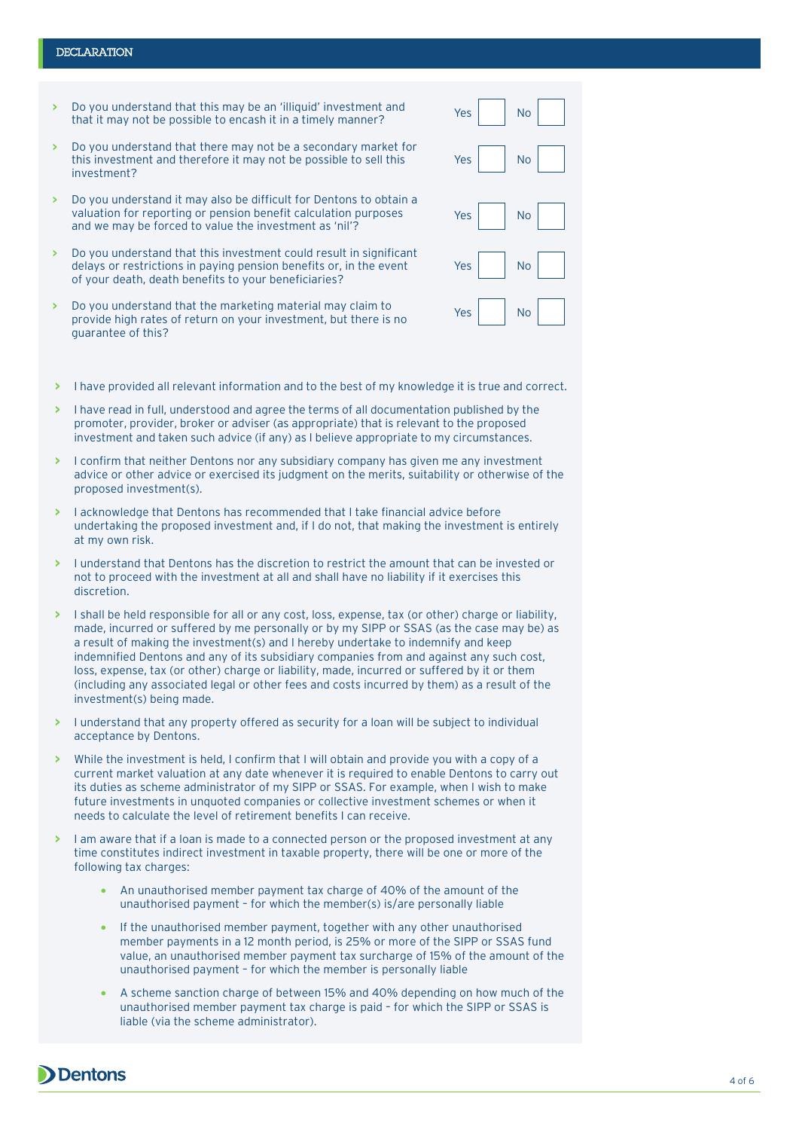#### **DECLARATION**

- **>** Do you understand that this may be an 'illiquid' investment and that it may not be possible to encash it in a timely manner?
- **>** Do you understand that there may not be a secondary market for this investment and therefore it may not be possible to sell this investment?
- **>** Do you understand it may also be difficult for Dentons to obtain a valuation for reporting or pension benefit calculation purposes and we may be forced to value the investment as 'nil'?
- **>** Do you understand that this investment could result in significant delays or restrictions in paying pension benefits or, in the event of your death, death benefits to your beneficiaries?
- **>** Do you understand that the marketing material may claim to provide high rates of return on your investment, but there is no guarantee of this?

| $Yes \mid$                              | No            |
|-----------------------------------------|---------------|
| $Yes \n\begin{bmatrix} \n\end{bmatrix}$ | No            |
| Yes                                     | $\mathsf{No}$ |
| $Yes \mid$                              | No            |
| Yes                                     | No            |

- **>** I have provided all relevant information and to the best of my knowledge it is true and correct.
- **>** I have read in full, understood and agree the terms of all documentation published by the promoter, provider, broker or adviser (as appropriate) that is relevant to the proposed investment and taken such advice (if any) as I believe appropriate to my circumstances.
- **>** I confirm that neither Dentons nor any subsidiary company has given me any investment advice or other advice or exercised its judgment on the merits, suitability or otherwise of the proposed investment(s).
- **>** I acknowledge that Dentons has recommended that I take financial advice before undertaking the proposed investment and, if I do not, that making the investment is entirely at my own risk.
- **>** I understand that Dentons has the discretion to restrict the amount that can be invested or not to proceed with the investment at all and shall have no liability if it exercises this discretion.
- **>** I shall be held responsible for all or any cost, loss, expense, tax (or other) charge or liability, made, incurred or suffered by me personally or by my SIPP or SSAS (as the case may be) as a result of making the investment(s) and I hereby undertake to indemnify and keep indemnified Dentons and any of its subsidiary companies from and against any such cost, loss, expense, tax (or other) charge or liability, made, incurred or suffered by it or them (including any associated legal or other fees and costs incurred by them) as a result of the investment(s) being made.
- **>** I understand that any property offered as security for a loan will be subject to individual acceptance by Dentons.
- **>** While the investment is held, I confirm that I will obtain and provide you with a copy of a current market valuation at any date whenever it is required to enable Dentons to carry out its duties as scheme administrator of my SIPP or SSAS. For example, when I wish to make future investments in unquoted companies or collective investment schemes or when it needs to calculate the level of retirement benefits I can receive.
- **>** I am aware that if a loan is made to a connected person or the proposed investment at any time constitutes indirect investment in taxable property, there will be one or more of the following tax charges:
	- An unauthorised member payment tax charge of 40% of the amount of the unauthorised payment – for which the member(s) is/are personally liable
	- If the unauthorised member payment, together with any other unauthorised member payments in a 12 month period, is 25% or more of the SIPP or SSAS fund value, an unauthorised member payment tax surcharge of 15% of the amount of the unauthorised payment – for which the member is personally liable
	- A scheme sanction charge of between 15% and 40% depending on how much of the unauthorised member payment tax charge is paid – for which the SIPP or SSAS is liable (via the scheme administrator).

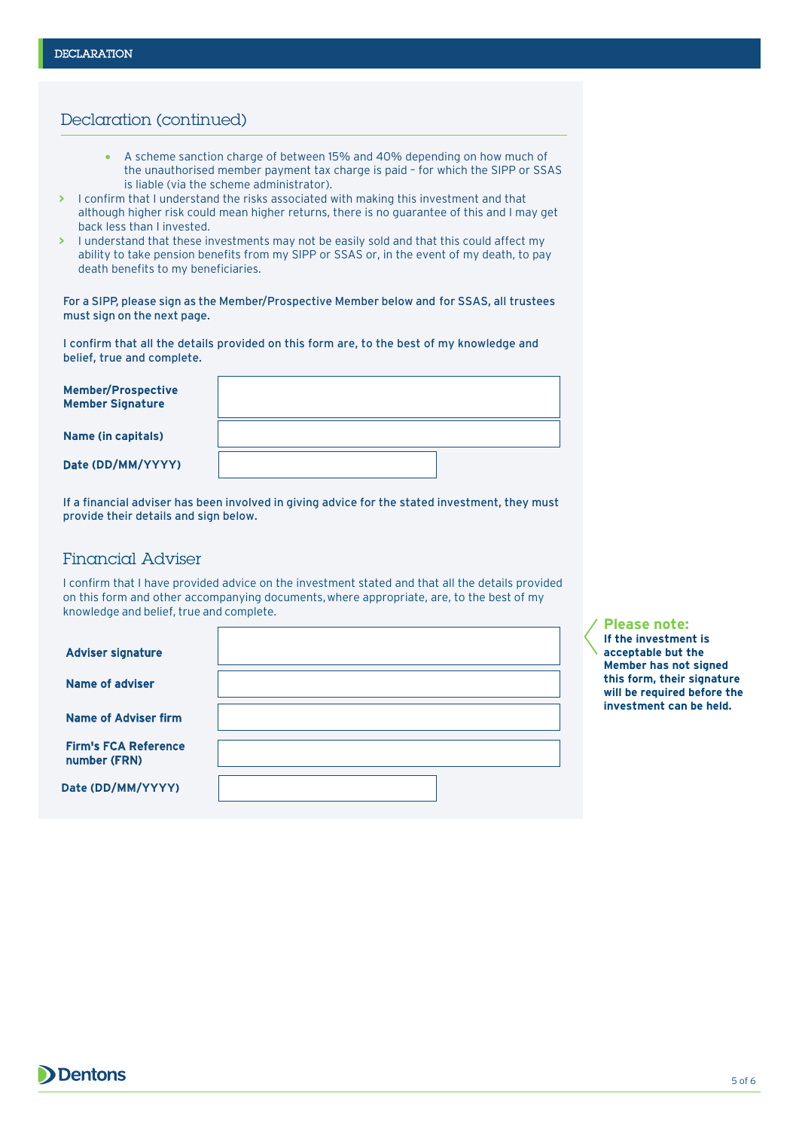## Declaration (continued)

- A scheme sanction charge of between 15% and 40% depending on how much of the unauthorised member payment tax charge is paid – for which the SIPP or SSAS is liable (via the scheme administrator).
- **>** I confirm that I understand the risks associated with making this investment and that although higher risk could mean higher returns, there is no guarantee of this and I may get back less than I invested.
- **>** I understand that these investments may not be easily sold and that this could affect my ability to take pension benefits from my SIPP or SSAS or, in the event of my death, to pay death benefits to my beneficiaries.

For a SIPP, please sign as the Member/Prospective Member below and for SSAS, all trustees must sign on the next page.

I confirm that all the details provided on this form are, to the best of my knowledge and belief, true and complete.

| <b>Member/Prospective</b><br><b>Member Signature</b> |  |
|------------------------------------------------------|--|
| Name (in capitals)                                   |  |
| Date (DD/MM/YYYY)                                    |  |

If a financial adviser has been involved in giving advice for the stated investment, they must provide their details and sign below.

## Financial Adviser

I confirm that I have provided advice on the investment stated and that all the details provided on this form and other accompanying documents, where appropriate, are, to the best of my knowledge and belief, true and complete.

**Please note: If the investment is acceptable but the Member has not signed this form, their signature will be required before the investment can be held.**